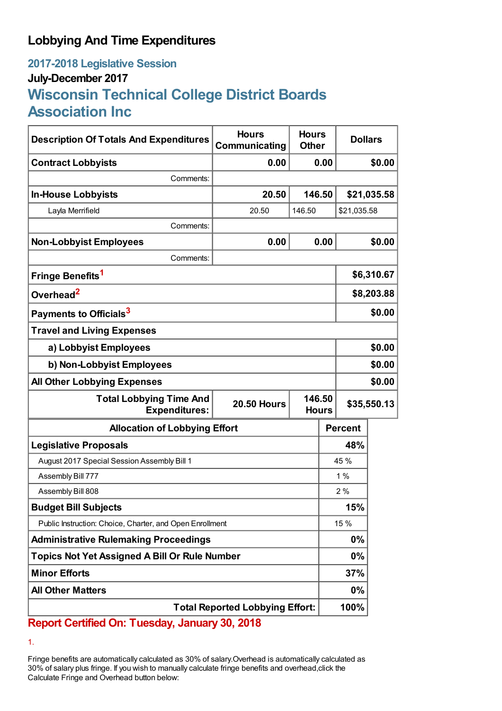## **Lobbying And Time Expenditures**

## **2017-2018 Legislative Session July-December 2017 Wisconsin Technical College District Boards Association Inc**

| <b>Description Of Totals And Expenditures</b>                                          | <b>Hours</b><br>Communicating | <b>Hours</b><br><b>Other</b> |              | <b>Dollars</b> |             |
|----------------------------------------------------------------------------------------|-------------------------------|------------------------------|--------------|----------------|-------------|
| <b>Contract Lobbyists</b>                                                              | 0.00                          |                              | 0.00         |                | \$0.00      |
| Comments:                                                                              |                               |                              |              |                |             |
| <b>In-House Lobbyists</b>                                                              | 20.50                         | 146.50                       |              |                | \$21,035.58 |
| Layla Merrifield                                                                       | 20.50                         | 146.50                       |              | \$21,035.58    |             |
| Comments:                                                                              |                               |                              |              |                |             |
| <b>Non-Lobbyist Employees</b>                                                          | 0.00                          |                              | 0.00         |                | \$0.00      |
| Comments:                                                                              |                               |                              |              |                |             |
| Fringe Benefits <sup>1</sup>                                                           |                               |                              | \$6,310.67   |                |             |
| Overhead <sup>2</sup>                                                                  |                               |                              | \$8,203.88   |                |             |
| Payments to Officials <sup>3</sup>                                                     |                               |                              |              | \$0.00         |             |
| <b>Travel and Living Expenses</b>                                                      |                               |                              |              |                |             |
| a) Lobbyist Employees                                                                  |                               |                              |              | \$0.00         |             |
| b) Non-Lobbyist Employees                                                              |                               |                              |              | \$0.00         |             |
| <b>All Other Lobbying Expenses</b>                                                     |                               |                              |              | \$0.00         |             |
| <b>Total Lobbying Time And</b><br>146.50<br><b>20.50 Hours</b><br><b>Expenditures:</b> |                               |                              | <b>Hours</b> | \$35,550.13    |             |
| <b>Allocation of Lobbying Effort</b>                                                   |                               |                              |              | <b>Percent</b> |             |
| <b>Legislative Proposals</b>                                                           |                               |                              |              | 48%            |             |
| August 2017 Special Session Assembly Bill 1                                            |                               |                              | 45 %         |                |             |
| Assembly Bill 777                                                                      |                               |                              | 1%           |                |             |
| Assembly Bill 808                                                                      |                               |                              | 2%           |                |             |
| <b>Budget Bill Subjects</b>                                                            |                               |                              | 15%          |                |             |
| Public Instruction: Choice, Charter, and Open Enrollment                               |                               |                              | 15 %         |                |             |
| <b>Administrative Rulemaking Proceedings</b>                                           |                               |                              | $0\%$        |                |             |
| <b>Topics Not Yet Assigned A Bill Or Rule Number</b>                                   |                               |                              | 0%           |                |             |
| <b>Minor Efforts</b>                                                                   |                               |                              |              | 37%            |             |
| <b>All Other Matters</b>                                                               |                               |                              |              | 0%             |             |
| <b>Total Reported Lobbying Effort:</b>                                                 |                               |                              |              | 100%           |             |

**Report Certified On: Tuesday, January 30, 2018**

1.

Fringe benefits are automatically calculated as 30% of salary.Overhead is automatically calculated as 30% of salary plus fringe. If you wish to manually calculate fringe benefits and overhead,click the Calculate Fringe and Overhead button below: